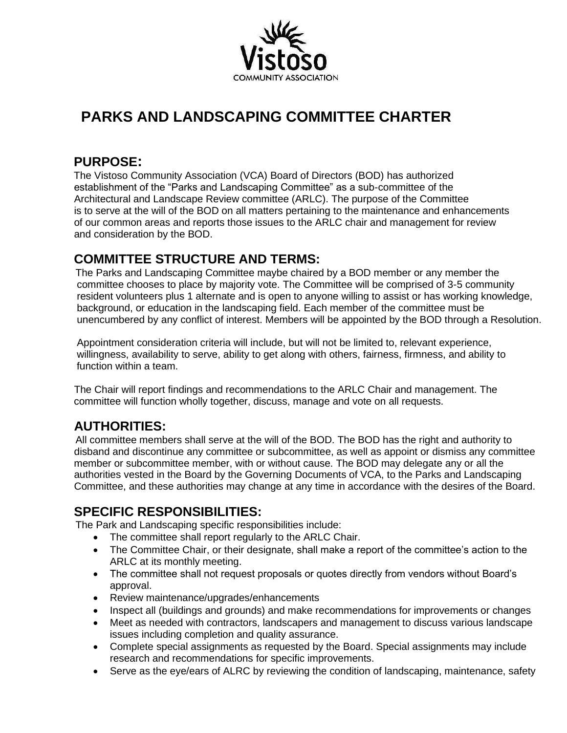

# **PARKS AND LANDSCAPING COMMITTEE CHARTER**

### **PURPOSE:**

 The Vistoso Community Association (VCA) Board of Directors (BOD) has authorized establishment of the "Parks and Landscaping Committee" as a sub-committee of the Architectural and Landscape Review committee (ARLC). The purpose of the Committee is to serve at the will of the BOD on all matters pertaining to the maintenance and enhancements of our common areas and reports those issues to the ARLC chair and management for review and consideration by the BOD.

# **COMMITTEE STRUCTURE AND TERMS:**

The Parks and Landscaping Committee maybe chaired by a BOD member or any member the committee chooses to place by majority vote. The Committee will be comprised of 3-5 community resident volunteers plus 1 alternate and is open to anyone willing to assist or has working knowledge, background, or education in the landscaping field. Each member of the committee must be unencumbered by any conflict of interest. Members will be appointed by the BOD through a Resolution.

 Appointment consideration criteria will include, but will not be limited to, relevant experience, willingness, availability to serve, ability to get along with others, fairness, firmness, and ability to function within a team.

 The Chair will report findings and recommendations to the ARLC Chair and management. The committee will function wholly together, discuss, manage and vote on all requests.

# **AUTHORITIES:**

All committee members shall serve at the will of the BOD. The BOD has the right and authority to disband and discontinue any committee or subcommittee, as well as appoint or dismiss any committee member or subcommittee member, with or without cause. The BOD may delegate any or all the authorities vested in the Board by the Governing Documents of VCA, to the Parks and Landscaping Committee, and these authorities may change at any time in accordance with the desires of the Board.

#### **SPECIFIC RESPONSIBILITIES:**

The Park and Landscaping specific responsibilities include:

- The committee shall report regularly to the ARLC Chair.
- The Committee Chair, or their designate, shall make a report of the committee's action to the ARLC at its monthly meeting.
- The committee shall not request proposals or quotes directly from vendors without Board's approval.
- Review maintenance/upgrades/enhancements
- Inspect all (buildings and grounds) and make recommendations for improvements or changes
- Meet as needed with contractors, landscapers and management to discuss various landscape issues including completion and quality assurance.
- Complete special assignments as requested by the Board. Special assignments may include research and recommendations for specific improvements.
- Serve as the eye/ears of ALRC by reviewing the condition of landscaping, maintenance, safety